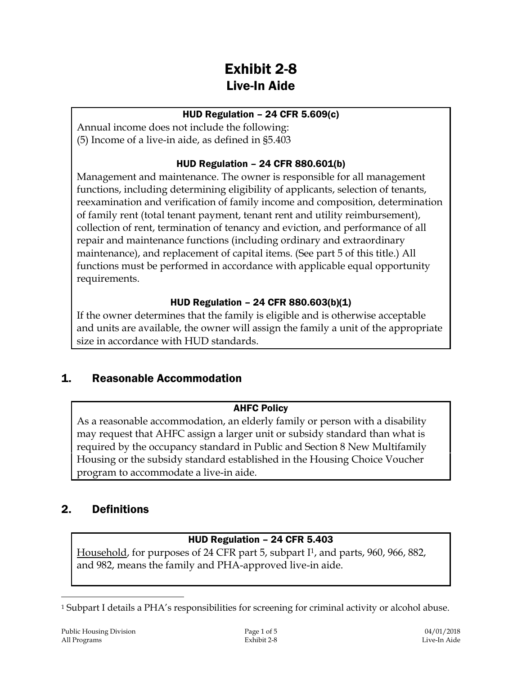# Exhibit 2-8 Live-In Aide

#### HUD Regulation – 24 CFR 5.609(c)

Annual income does not include the following: (5) Income of a live-in aide, as defined in §5.403

### HUD Regulation – 24 CFR 880.601(b)

Management and maintenance. The owner is responsible for all management functions, including determining eligibility of applicants, selection of tenants, reexamination and verification of family income and composition, determination of family rent (total tenant payment, tenant rent and utility reimbursement), collection of rent, termination of tenancy and eviction, and performance of all repair and maintenance functions (including ordinary and extraordinary maintenance), and replacement of capital items. (See part 5 of this title.) All functions must be performed in accordance with applicable equal opportunity requirements.

### HUD Regulation – 24 CFR 880.603(b)(1)

If the owner determines that the family is eligible and is otherwise acceptable and units are available, the owner will assign the family a unit of the appropriate size in accordance with HUD standards.

# 1. Reasonable Accommodation

### AHFC Policy

As a reasonable accommodation, an elderly family or person with a disability may request that AHFC assign a larger unit or subsidy standard than what is required by the occupancy standard in Public and Section 8 New Multifamily Housing or the subsidy standard established in the Housing Choice Voucher program to accommodate a live-in aide.

### 2. Definitions

### HUD Regulation – 24 CFR 5.403

Household, for purposes of 24 CFR part 5, subpart I1, and parts, 960, 966, 882, and 982, means the family and PHA-approved live-in aide.

 $\overline{a}$ 

<sup>1</sup> Subpart I details a PHA's responsibilities for screening for criminal activity or alcohol abuse.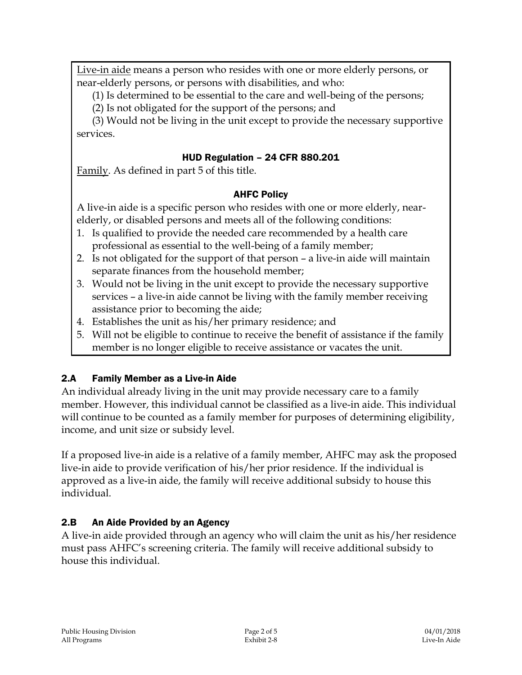Live-in aide means a person who resides with one or more elderly persons, or near-elderly persons, or persons with disabilities, and who:

(1) Is determined to be essential to the care and well-being of the persons;

(2) Is not obligated for the support of the persons; and

(3) Would not be living in the unit except to provide the necessary supportive services.

#### HUD Regulation – 24 CFR 880.201

Family. As defined in part 5 of this title.

### AHFC Policy

A live-in aide is a specific person who resides with one or more elderly, nearelderly, or disabled persons and meets all of the following conditions:

- 1. Is qualified to provide the needed care recommended by a health care professional as essential to the well-being of a family member;
- 2. Is not obligated for the support of that person a live-in aide will maintain separate finances from the household member;
- 3. Would not be living in the unit except to provide the necessary supportive services – a live-in aide cannot be living with the family member receiving assistance prior to becoming the aide;
- 4. Establishes the unit as his/her primary residence; and
- 5. Will not be eligible to continue to receive the benefit of assistance if the family member is no longer eligible to receive assistance or vacates the unit.

### 2.A Family Member as a Live-in Aide

An individual already living in the unit may provide necessary care to a family member. However, this individual cannot be classified as a live-in aide. This individual will continue to be counted as a family member for purposes of determining eligibility, income, and unit size or subsidy level.

If a proposed live-in aide is a relative of a family member, AHFC may ask the proposed live-in aide to provide verification of his/her prior residence. If the individual is approved as a live-in aide, the family will receive additional subsidy to house this individual.

### 2.B An Aide Provided by an Agency

A live-in aide provided through an agency who will claim the unit as his/her residence must pass AHFC's screening criteria. The family will receive additional subsidy to house this individual.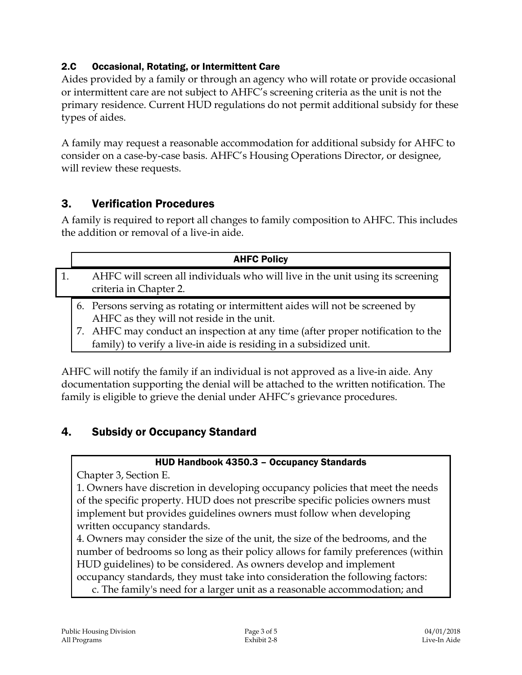### 2.C Occasional, Rotating, or Intermittent Care

Aides provided by a family or through an agency who will rotate or provide occasional or intermittent care are not subject to AHFC's screening criteria as the unit is not the primary residence. Current HUD regulations do not permit additional subsidy for these types of aides.

A family may request a reasonable accommodation for additional subsidy for AHFC to consider on a case-by-case basis. AHFC's Housing Operations Director, or designee, will review these requests.

### 3. Verification Procedures

A family is required to report all changes to family composition to AHFC. This includes the addition or removal of a live-in aide.

|  | <b>AHFC Policy</b>                                                                                                                                    |
|--|-------------------------------------------------------------------------------------------------------------------------------------------------------|
|  | AHFC will screen all individuals who will live in the unit using its screening<br>criteria in Chapter 2.                                              |
|  | 6. Persons serving as rotating or intermittent aides will not be screened by<br>AHFC as they will not reside in the unit.                             |
|  | 7. AHFC may conduct an inspection at any time (after proper notification to the<br>family) to verify a live-in aide is residing in a subsidized unit. |

AHFC will notify the family if an individual is not approved as a live-in aide. Any documentation supporting the denial will be attached to the written notification. The family is eligible to grieve the denial under AHFC's grievance procedures.

### 4. Subsidy or Occupancy Standard

#### HUD Handbook 4350.3 – Occupancy Standards

Chapter 3, Section E.

1. Owners have discretion in developing occupancy policies that meet the needs of the specific property. HUD does not prescribe specific policies owners must implement but provides guidelines owners must follow when developing written occupancy standards.

4. Owners may consider the size of the unit, the size of the bedrooms, and the number of bedrooms so long as their policy allows for family preferences (within HUD guidelines) to be considered. As owners develop and implement occupancy standards, they must take into consideration the following factors: c. The family's need for a larger unit as a reasonable accommodation; and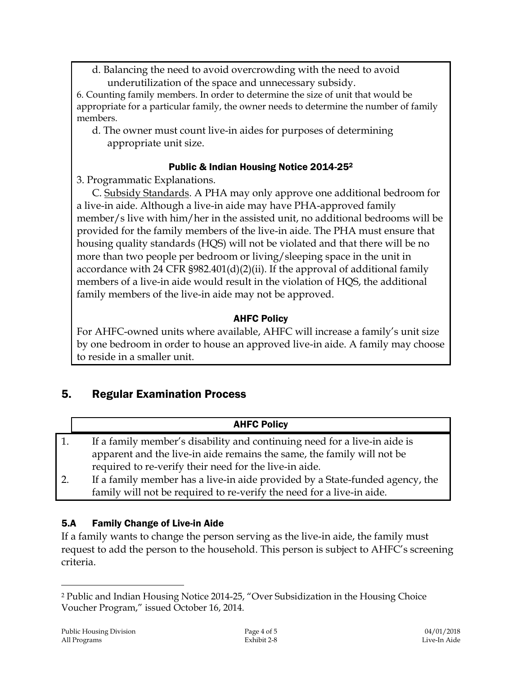d. Balancing the need to avoid overcrowding with the need to avoid underutilization of the space and unnecessary subsidy.

6. Counting family members. In order to determine the size of unit that would be appropriate for a particular family, the owner needs to determine the number of family members.

d. The owner must count live-in aides for purposes of determining appropriate unit size.

#### Public & Indian Housing Notice 2014-25<sup>2</sup>

3. Programmatic Explanations.

C. Subsidy Standards. A PHA may only approve one additional bedroom for a live-in aide. Although a live-in aide may have PHA-approved family member/s live with him/her in the assisted unit, no additional bedrooms will be provided for the family members of the live-in aide. The PHA must ensure that housing quality standards (HQS) will not be violated and that there will be no more than two people per bedroom or living/sleeping space in the unit in accordance with 24 CFR §982.401(d)(2)(ii). If the approval of additional family members of a live-in aide would result in the violation of HQS, the additional family members of the live-in aide may not be approved.

### AHFC Policy

For AHFC-owned units where available, AHFC will increase a family's unit size by one bedroom in order to house an approved live-in aide. A family may choose to reside in a smaller unit.

### 5. Regular Examination Process

|    | <b>AHFC Policy</b>                                                           |
|----|------------------------------------------------------------------------------|
| 1. | If a family member's disability and continuing need for a live-in aide is    |
|    | apparent and the live-in aide remains the same, the family will not be       |
|    | required to re-verify their need for the live-in aide.                       |
| 2. | If a family member has a live-in aide provided by a State-funded agency, the |
|    | family will not be required to re-verify the need for a live-in aide.        |

### 5.A Family Change of Live-in Aide

If a family wants to change the person serving as the live-in aide, the family must request to add the person to the household. This person is subject to AHFC's screening criteria.

 $\overline{a}$ 

<sup>2</sup> Public and Indian Housing Notice 2014-25, "Over Subsidization in the Housing Choice Voucher Program," issued October 16, 2014.